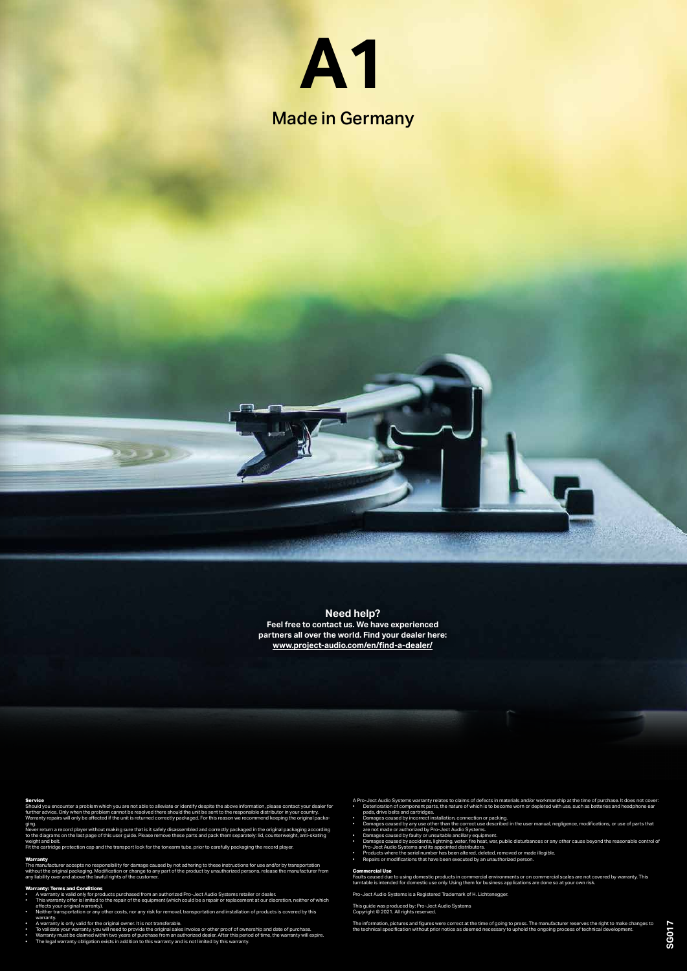Made in Germany

#### **Service**

Should you encounter a problem which you are not able to alleviate or identify despite the above information, please contact your dealer for<br>further advice. Only when the problem cannot be resolved there should the unit be Warranty repairs will only be affected if the unit is returned correctly packaged. For this reason we recommend keeping the original packaging.

Never return a record player without making sure that is it safely disassembled and correctly packaged in the original packaging according<br>to the diagrams on the last page of this user guide. Please remove these parts and

### **Warranty**

The manufacturer accepts no responsibility for damage caused by not adhering to these instructions for use and/or by transportation<br>without the original packaging. Modification or change to any part of the product by unaut

## **Warranty: Terms and Conditions**

- 
- A warranty is valid only for products purchased from an authorized Pro-Ject Audio Systems retailer or dealer.<br>• This warranty offer is limited to the repair of the equipment (which could be a repair or replac affects your original warranty).
- Neither transportation or any other costs, nor any risk for removal, transportation and installation of products is covered by this
- 
- warranty.<br>• A warranty is only valid for the original owner. It is not transferable.<br>• To validate your warranty, you will need to provide the original sales invoice or other proof of ownership and date of purchase.<br>• Warr
- 
- 

A Pro-Ject Audio Systems warranty relates to claims of defects in materials and/or workmanship at the time of purchase. It does not cover:

- Deterioration of component parts, the nature of which is to become worn or depleted with use, such as batteries and headphone ear pads, drive belts and cartridges.
- 
- Damages caused by incorrect installation, connection or packing.<br>• Damages caused by any use other than the correct use described in the user manual, negligence, modifications, or use of parts that<br>are not made o
- 
- Damages caused by faulty or unsuitable ancillary equipment. Damages caused by accidents, lightning, water, fire heat, war, public disturbances or any other cause beyond the reasonable control of
- Pro-Ject Audio Systems and its appointed distributors. Products where the serial number has been altered, deleted, removed or made illegible. Repairs or modifications that have been executed by an unauthorized person.
- 

#### **Commercial Use**

Faults caused due to using domestic products in commercial environments or on commercial scales are not covered by warranty. This<br>turntable is intended for domestic use only. Using them for business applications are done s

Pro-Ject Audio Systems is a Registered Trademark of H. Lichtenegger.

This guide was produced by: Pro-Ject Audio Systems Copyright © 2021. All rights reserved.

The information, pictures and figures were correct at the time of going to press. The manufacturer reserves the right to make changes to<br>the technical specification without prior notice as deemed necessary to uphold the on

# **Need help?**

**Feel free to contact us. We have experienced partners all over the world. Find your dealer here: www.project-audio.com/en/find-a-dealer/**